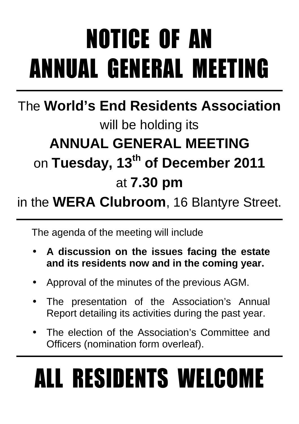# NOTICE OF AN ANNUAL GENERAL MEETING

### The **World's End Residents Association** will be holding its **ANNUAL GENERAL MEETING**  on **Tuesday, 13th of December 2011** at **7.30 pm**

#### in the **WERA Clubroom**, 16 Blantyre Street.

The agenda of the meeting will include

- **A discussion on the issues facing the estate and its residents now and in the coming year.**
- Approval of the minutes of the previous AGM.
- The presentation of the Association's Annual Report detailing its activities during the past year.
- The election of the Association's Committee and Officers (nomination form overleaf).

# ALL RESIDENTS WELCOME